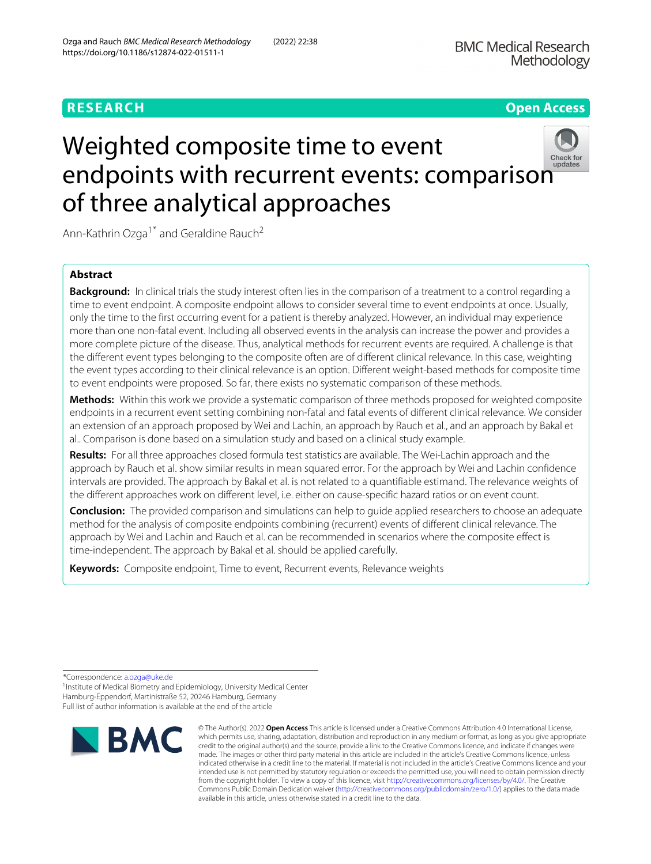**BMC Medical Research** Methodology

# **RESEARCH Open Access**

# Weighted composite time to event e[n](http://crossmark.crossref.org/dialog/?doi=10.1186/s12874-022-01511-1&domain=pdf)dpoints with recurrent events: comparison of three analytical approaches



Ann-Kathrin Ozga<sup>1\*</sup> and Geraldine Rauch<sup>2</sup>

# **Abstract**

**Background:** In clinical trials the study interest often lies in the comparison of a treatment to a control regarding a time to event endpoint. A composite endpoint allows to consider several time to event endpoints at once. Usually, only the time to the first occurring event for a patient is thereby analyzed. However, an individual may experience more than one non-fatal event. Including all observed events in the analysis can increase the power and provides a more complete picture of the disease. Thus, analytical methods for recurrent events are required. A challenge is that the different event types belonging to the composite often are of different clinical relevance. In this case, weighting the event types according to their clinical relevance is an option. Different weight-based methods for composite time to event endpoints were proposed. So far, there exists no systematic comparison of these methods.

**Methods:** Within this work we provide a systematic comparison of three methods proposed for weighted composite endpoints in a recurrent event setting combining non-fatal and fatal events of different clinical relevance. We consider an extension of an approach proposed by Wei and Lachin, an approach by Rauch et al., and an approach by Bakal et al.. Comparison is done based on a simulation study and based on a clinical study example.

**Results:** For all three approaches closed formula test statistics are available. The Wei-Lachin approach and the approach by Rauch et al. show similar results in mean squared error. For the approach by Wei and Lachin confidence intervals are provided. The approach by Bakal et al. is not related to a quantifiable estimand. The relevance weights of the different approaches work on different level, i.e. either on cause-specific hazard ratios or on event count.

**Conclusion:** The provided comparison and simulations can help to guide applied researchers to choose an adequate method for the analysis of composite endpoints combining (recurrent) events of different clinical relevance. The approach by Wei and Lachin and Rauch et al. can be recommended in scenarios where the composite effect is time-independent. The approach by Bakal et al. should be applied carefully.

**Keywords:** Composite endpoint, Time to event, Recurrent events, Relevance weights

\*Correspondence: [a.ozga@uke.de](mailto: a.ozga@uke.de)

<sup>1</sup> Institute of Medical Biometry and Epidemiology, University Medical Center Hamburg-Eppendorf, Martinistraße 52, 20246 Hamburg, Germany Full list of author information is available at the end of the article



© The Author(s). 2022 **Open Access** This article is licensed under a Creative Commons Attribution 4.0 International License, which permits use, sharing, adaptation, distribution and reproduction in any medium or format, as long as you give appropriate credit to the original author(s) and the source, provide a link to the Creative Commons licence, and indicate if changes were made. The images or other third party material in this article are included in the article's Creative Commons licence, unless indicated otherwise in a credit line to the material. If material is not included in the article's Creative Commons licence and your intended use is not permitted by statutory regulation or exceeds the permitted use, you will need to obtain permission directly from the copyright holder. To view a copy of this licence, visit [http://creativecommons.org/licenses/by/4.0/.](http://creativecommons.org/licenses/by/4.0/) The Creative Commons Public Domain Dedication waiver [\(http://creativecommons.org/publicdomain/zero/1.0/\)](http://creativecommons.org/publicdomain/zero/1.0/) applies to the data made available in this article, unless otherwise stated in a credit line to the data.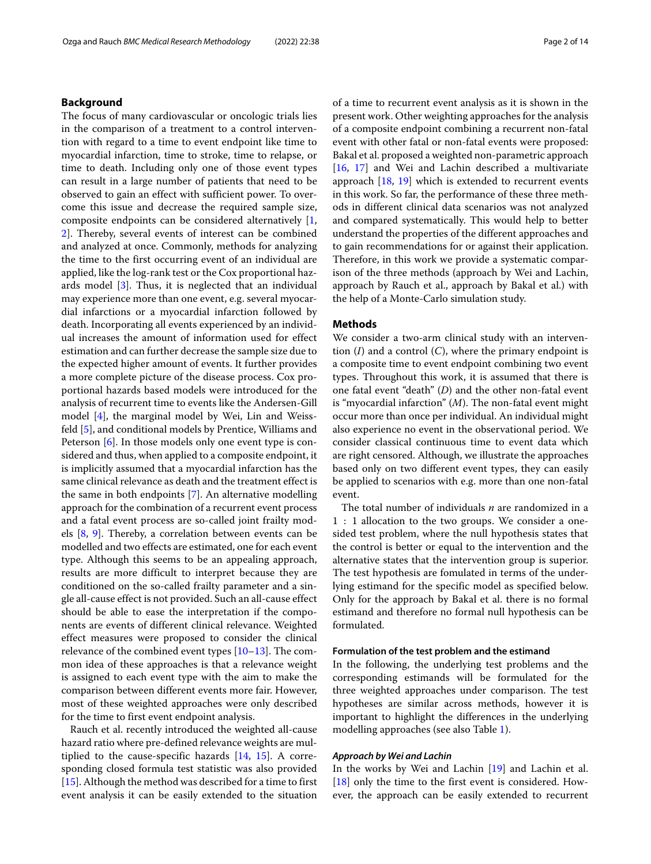#### **Background**

The focus of many cardiovascular or oncologic trials lies in the comparison of a treatment to a control intervention with regard to a time to event endpoint like time to myocardial infarction, time to stroke, time to relapse, or time to death. Including only one of those event types can result in a large number of patients that need to be observed to gain an effect with sufficient power. To overcome this issue and decrease the required sample size, composite endpoints can be considered alternatively [\[1,](#page-12-0) [2\]](#page-12-1). Thereby, several events of interest can be combined and analyzed at once. Commonly, methods for analyzing the time to the first occurring event of an individual are applied, like the log-rank test or the Cox proportional hazards model [\[3\]](#page-12-2). Thus, it is neglected that an individual may experience more than one event, e.g. several myocardial infarctions or a myocardial infarction followed by death. Incorporating all events experienced by an individual increases the amount of information used for effect estimation and can further decrease the sample size due to the expected higher amount of events. It further provides a more complete picture of the disease process. Cox proportional hazards based models were introduced for the analysis of recurrent time to events like the Andersen-Gill model [\[4\]](#page-12-3), the marginal model by Wei, Lin and Weissfeld [\[5\]](#page-12-4), and conditional models by Prentice, Williams and Peterson [\[6\]](#page-12-5). In those models only one event type is considered and thus, when applied to a composite endpoint, it is implicitly assumed that a myocardial infarction has the same clinical relevance as death and the treatment effect is the same in both endpoints [\[7\]](#page-12-6). An alternative modelling approach for the combination of a recurrent event process and a fatal event process are so-called joint frailty models [\[8,](#page-12-7) [9\]](#page-12-8). Thereby, a correlation between events can be modelled and two effects are estimated, one for each event type. Although this seems to be an appealing approach, results are more difficult to interpret because they are conditioned on the so-called frailty parameter and a single all-cause effect is not provided. Such an all-cause effect should be able to ease the interpretation if the components are events of different clinical relevance. Weighted effect measures were proposed to consider the clinical relevance of the combined event types [\[10–](#page-12-9)[13\]](#page-12-10). The common idea of these approaches is that a relevance weight is assigned to each event type with the aim to make the comparison between different events more fair. However, most of these weighted approaches were only described for the time to first event endpoint analysis.

Rauch et al. recently introduced the weighted all-cause hazard ratio where pre-defined relevance weights are multiplied to the cause-specific hazards [\[14,](#page-12-11) [15\]](#page-12-12). A corresponding closed formula test statistic was also provided [\[15\]](#page-12-12). Although the method was described for a time to first event analysis it can be easily extended to the situation

of a time to recurrent event analysis as it is shown in the present work. Other weighting approaches for the analysis of a composite endpoint combining a recurrent non-fatal event with other fatal or non-fatal events were proposed: Bakal et al. proposed a weighted non-parametric approach [\[16,](#page-12-13) [17\]](#page-12-14) and Wei and Lachin described a multivariate approach [\[18,](#page-12-15) [19\]](#page-12-16) which is extended to recurrent events in this work. So far, the performance of these three methods in different clinical data scenarios was not analyzed and compared systematically. This would help to better understand the properties of the different approaches and to gain recommendations for or against their application. Therefore, in this work we provide a systematic comparison of the three methods (approach by Wei and Lachin, approach by Rauch et al., approach by Bakal et al.) with the help of a Monte-Carlo simulation study.

#### **Methods**

We consider a two-arm clinical study with an intervention (*I*) and a control (*C*), where the primary endpoint is a composite time to event endpoint combining two event types. Throughout this work, it is assumed that there is one fatal event "death" (*D*) and the other non-fatal event is "myocardial infarction" (*M*). The non-fatal event might occur more than once per individual. An individual might also experience no event in the observational period. We consider classical continuous time to event data which are right censored. Although, we illustrate the approaches based only on two different event types, they can easily be applied to scenarios with e.g. more than one non-fatal event.

The total number of individuals *n* are randomized in a 1 : 1 allocation to the two groups. We consider a onesided test problem, where the null hypothesis states that the control is better or equal to the intervention and the alternative states that the intervention group is superior. The test hypothesis are fomulated in terms of the underlying estimand for the specific model as specified below. Only for the approach by Bakal et al. there is no formal estimand and therefore no formal null hypothesis can be formulated.

#### **Formulation of the test problem and the estimand**

In the following, the underlying test problems and the corresponding estimands will be formulated for the three weighted approaches under comparison. The test hypotheses are similar across methods, however it is important to highlight the differences in the underlying modelling approaches (see also Table [1\)](#page-2-0).

#### *Approach by Wei and Lachin*

In the works by Wei and Lachin [\[19\]](#page-12-16) and Lachin et al. [\[18\]](#page-12-15) only the time to the first event is considered. However, the approach can be easily extended to recurrent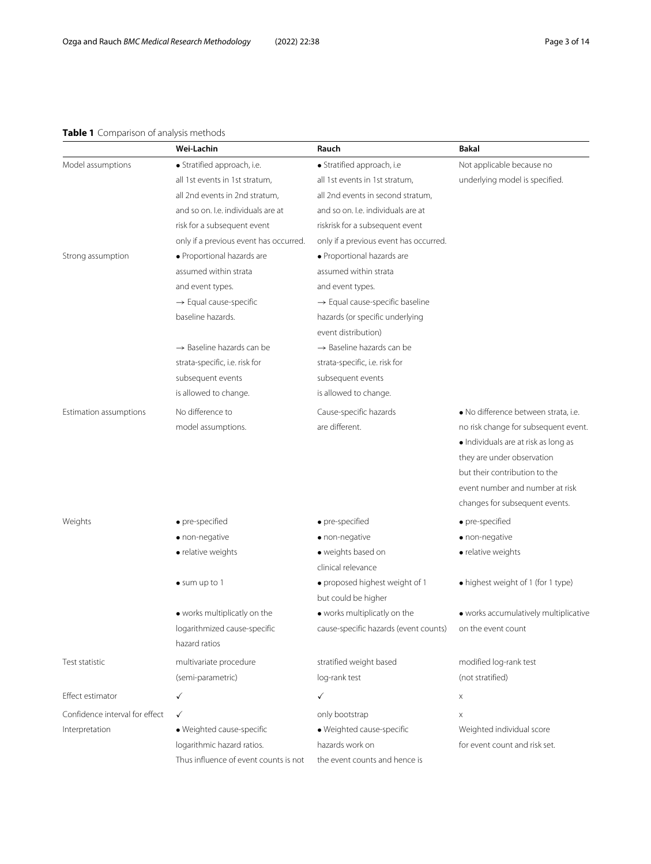# **Table 1** Comparison of analysis methods

<span id="page-2-0"></span>

|                                | Wei-Lachin                             | Rauch                                                    | <b>Bakal</b>                          |
|--------------------------------|----------------------------------------|----------------------------------------------------------|---------------------------------------|
| Model assumptions              | · Stratified approach, i.e.            | · Stratified approach, i.e                               | Not applicable because no             |
|                                | all 1st events in 1st stratum,         | all 1st events in 1st stratum,                           | underlying model is specified.        |
|                                | all 2nd events in 2nd stratum,         | all 2nd events in second stratum,                        |                                       |
|                                | and so on. I.e. individuals are at     | and so on. I.e. individuals are at                       |                                       |
|                                | risk for a subsequent event            | riskrisk for a subsequent event                          |                                       |
|                                | only if a previous event has occurred. | only if a previous event has occurred.                   |                                       |
| Strong assumption              | · Proportional hazards are             | · Proportional hazards are                               |                                       |
|                                | assumed within strata                  | assumed within strata                                    |                                       |
|                                | and event types.                       | and event types.                                         |                                       |
|                                | $\rightarrow$ Equal cause-specific     | $\rightarrow$ Equal cause-specific baseline              |                                       |
|                                | baseline hazards.                      | hazards (or specific underlying                          |                                       |
|                                |                                        | event distribution)                                      |                                       |
|                                | $\rightarrow$ Baseline hazards can be  | $\rightarrow$ Baseline hazards can be                    |                                       |
|                                | strata-specific, i.e. risk for         | strata-specific, i.e. risk for                           |                                       |
|                                | subsequent events                      | subsequent events                                        |                                       |
|                                | is allowed to change.                  | is allowed to change.                                    |                                       |
| Estimation assumptions         | No difference to                       | Cause-specific hazards                                   | · No difference between strata, i.e.  |
|                                | model assumptions.                     | are different.                                           | no risk change for subsequent event.  |
|                                |                                        |                                                          | · Individuals are at risk as long as  |
|                                |                                        |                                                          | they are under observation            |
|                                |                                        |                                                          | but their contribution to the         |
|                                |                                        |                                                          | event number and number at risk       |
|                                |                                        |                                                          | changes for subsequent events.        |
| Weights                        | · pre-specified                        | · pre-specified                                          | · pre-specified                       |
|                                | · non-negative                         | · non-negative                                           | · non-negative                        |
|                                | • relative weights                     | · weights based on                                       | • relative weights                    |
|                                |                                        | clinical relevance                                       |                                       |
|                                | · sum up to 1                          | · proposed highest weight of 1                           | • highest weight of 1 (for 1 type)    |
|                                |                                        | but could be higher                                      |                                       |
|                                | • works multiplicatly on the           | • works multiplicatly on the                             | · works accumulatively multiplicative |
|                                | logarithmized cause-specific           | cause-specific hazards (event counts) on the event count |                                       |
|                                | hazard ratios                          |                                                          |                                       |
| Test statistic                 | multivariate procedure                 | stratified weight based                                  | modified log-rank test                |
|                                | (semi-parametric)                      | log-rank test                                            | (not stratified)                      |
| Effect estimator               | ✓                                      | $\checkmark$                                             | X                                     |
| Confidence interval for effect | ✓                                      | only bootstrap                                           | $\boldsymbol{\times}$                 |
| Interpretation                 | · Weighted cause-specific              | · Weighted cause-specific                                | Weighted individual score             |
|                                | logarithmic hazard ratios.             | hazards work on                                          | for event count and risk set.         |
|                                | Thus influence of event counts is not  | the event counts and hence is                            |                                       |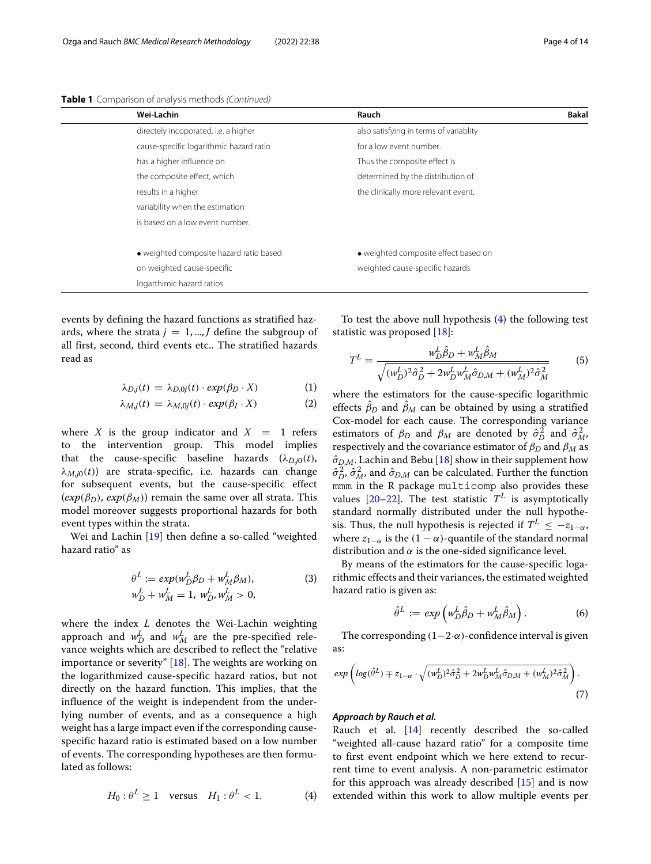**Table 1** Comparison of analysis methods (Continued)

| <b>Bakal</b> |
|--------------|
|              |
|              |
|              |
|              |
|              |
|              |
|              |
|              |
|              |
|              |
|              |
|              |

events by defining the hazard functions as stratified hazards, where the strata  $j = 1, ..., J$  define the subgroup of all first, second, third events etc.. The stratified hazards read as

<span id="page-3-1"></span>
$$
\lambda_{D,j}(t) = \lambda_{D,0j}(t) \cdot exp(\beta_D \cdot X) \tag{1}
$$

$$
\lambda_{M,j}(t) = \lambda_{M,0j}(t) \cdot exp(\beta_I \cdot X) \tag{2}
$$

where *X* is the group indicator and  $X = 1$  refers to the intervention group. This model implies that the cause-specific baseline hazards  $(\lambda_{D,i0}(t))$ ,  $\lambda_{M,j0}(t)$  are strata-specific, i.e. hazards can change for subsequent events, but the cause-specific effect  $(exp(\beta_D), exp(\beta_M))$  remain the same over all strata. This model moreover suggests proportional hazards for both event types within the strata.

Wei and Lachin [\[19\]](#page-12-16) then define a so-called "weighted hazard ratio" as

$$
\theta^{L} := exp(w_{D}^{L}\beta_{D} + w_{M}^{L}\beta_{M}),
$$
  
\n
$$
w_{D}^{L} + w_{M}^{L} = 1, w_{D}^{L}, w_{M}^{L} > 0,
$$
\n(3)

where the index *L* denotes the Wei-Lachin weighting approach and  $w_D^L$  and  $w_M^L$  are the pre-specified relevance weights which are described to reflect the "relative importance or severity" [\[18\]](#page-12-15). The weights are working on the logarithmized cause-specific hazard ratios, but not directly on the hazard function. This implies, that the influence of the weight is independent from the underlying number of events, and as a consequence a high weight has a large impact even if the corresponding causespecific hazard ratio is estimated based on a low number of events. The corresponding hypotheses are then formulated as follows:

<span id="page-3-0"></span>
$$
H_0: \theta^L \ge 1 \quad \text{versus} \quad H_1: \theta^L < 1. \tag{4}
$$

To test the above null hypothesis [\(4\)](#page-3-0) the following test statistic was proposed [\[18\]](#page-12-15):

$$
T^{L} = \frac{w_{D}^{L}\hat{\beta}_{D} + w_{M}^{L}\hat{\beta}_{M}}{\sqrt{(w_{D}^{L})^{2}\hat{\sigma}_{D}^{2} + 2w_{D}^{L}w_{M}^{L}\hat{\sigma}_{D,M} + (w_{M}^{L})^{2}\hat{\sigma}_{M}^{2}}}
$$
(5)

where the estimators for the cause-specific logarithmic effects  $\beta_D$  and  $\beta_M$  can be obtained by using a stratified Cox-model for each cause. The corresponding variance estimators of  $\beta_D$  and  $\beta_M$  are denoted by  $\hat{\sigma}_D^2$  and  $\hat{\sigma}_M^2$ , respectively and the covariance estimator of  $\beta_D$  and  $\beta_M$  as  $\hat{\sigma}_{D,M}$ . Lachin and Bebu [\[18\]](#page-12-15) show in their supplement how  $\hat{\sigma}^2_D$ ,  $\hat{\sigma}^2_M$ , and  $\hat{\sigma}_{D,M}$  can be calculated. Further the function mmm in the R package multicomp also provides these values  $[20-22]$  $[20-22]$ . The test statistic  $T<sup>L</sup>$  is asymptotically standard normally distributed under the null hypothesis. Thus, the null hypothesis is rejected if  $T^L \le -z_{1-\alpha}$ , where  $z_{1-\alpha}$  is the  $(1-\alpha)$ -quantile of the standard normal distribution and  $\alpha$  is the one-sided significance level.

By means of the estimators for the cause-specific logarithmic effects and their variances, the estimated weighted hazard ratio is given as:

$$
\hat{\theta}^L := \exp\left(w_D^L \hat{\beta}_D + w_M^L \hat{\beta}_M\right). \tag{6}
$$

The corresponding  $(1-2\cdot\alpha)$ -confidence interval is given as:

$$
\exp\left(\log(\hat{\theta}^L) \mp z_{1-\alpha} \cdot \sqrt{(w_D^L)^2 \hat{\sigma}_D^2 + 2w_D^L w_M^L \hat{\sigma}_{D,M} + (w_M^L)^2 \hat{\sigma}_M^2}\right). \tag{7}
$$

#### *Approach by Rauch et al.*

Rauch et al. [\[14\]](#page-12-11) recently described the so-called "weighted all-cause hazard ratio" for a composite time to first event endpoint which we here extend to recurrent time to event analysis. A non-parametric estimator for this approach was already described [\[15\]](#page-12-12) and is now extended within this work to allow multiple events per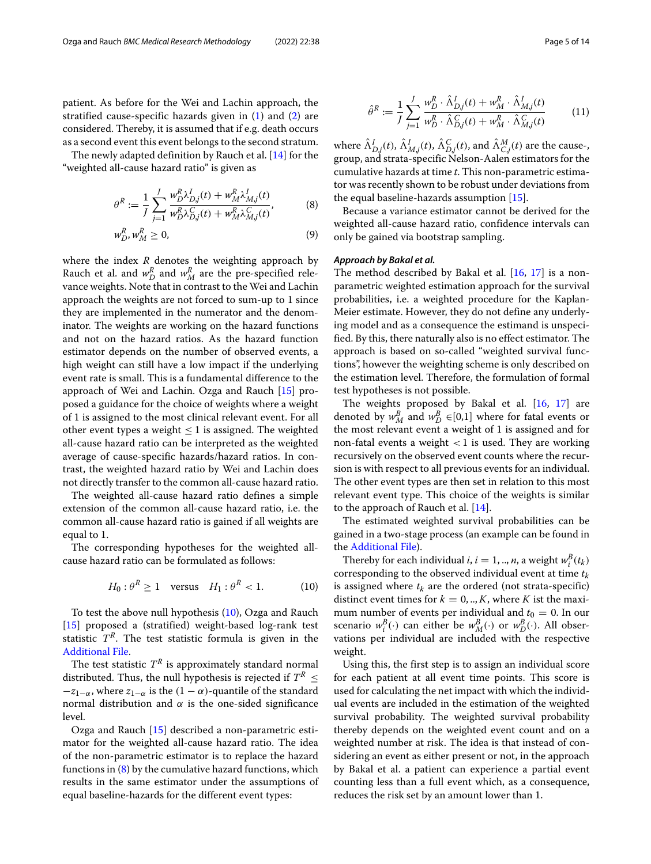patient. As before for the Wei and Lachin approach, the stratified cause-specific hazards given in  $(1)$  and  $(2)$  are considered. Thereby, it is assumed that if e.g. death occurs as a second event this event belongs to the second stratum.

The newly adapted definition by Rauch et al. [\[14\]](#page-12-11) for the "weighted all-cause hazard ratio" is given as

<span id="page-4-1"></span>
$$
\theta^R := \frac{1}{J} \sum_{j=1}^J \frac{w_D^R \lambda_{D,j}^I(t) + w_M^R \lambda_{M,j}^I(t)}{w_D^R \lambda_{D,j}^C(t) + w_M^R \lambda_{M,j}^C(t)},
$$
(8)

$$
w_D^R, w_M^R \ge 0,\tag{9}
$$

where the index *R* denotes the weighting approach by Rauch et al. and  $w_D^R$  and  $w_M^R$  are the pre-specified relevance weights. Note that in contrast to the Wei and Lachin approach the weights are not forced to sum-up to 1 since they are implemented in the numerator and the denominator. The weights are working on the hazard functions and not on the hazard ratios. As the hazard function estimator depends on the number of observed events, a high weight can still have a low impact if the underlying event rate is small. This is a fundamental difference to the approach of Wei and Lachin. Ozga and Rauch [\[15\]](#page-12-12) proposed a guidance for the choice of weights where a weight of 1 is assigned to the most clinical relevant event. For all other event types a weight  $\leq 1$  is assigned. The weighted all-cause hazard ratio can be interpreted as the weighted average of cause-specific hazards/hazard ratios. In contrast, the weighted hazard ratio by Wei and Lachin does not directly transfer to the common all-cause hazard ratio.

The weighted all-cause hazard ratio defines a simple extension of the common all-cause hazard ratio, i.e. the common all-cause hazard ratio is gained if all weights are equal to 1.

The corresponding hypotheses for the weighted allcause hazard ratio can be formulated as follows:

<span id="page-4-0"></span>
$$
H_0: \theta^R \ge 1 \quad \text{versus} \quad H_1: \theta^R < 1. \tag{10}
$$

To test the above null hypothesis [\(10\)](#page-4-0), Ozga and Rauch [\[15\]](#page-12-12) proposed a (stratified) weight-based log-rank test statistic  $T<sup>R</sup>$ . The test statistic formula is given in the [Additional File.](#page-12-19)

The test statistic  $T^R$  is approximately standard normal distributed. Thus, the null hypothesis is rejected if  $T^R \leq$  $-z_{1-\alpha}$ , where  $z_{1-\alpha}$  is the  $(1-\alpha)$ -quantile of the standard normal distribution and  $α$  is the one-sided significance level.

Ozga and Rauch [\[15\]](#page-12-12) described a non-parametric estimator for the weighted all-cause hazard ratio. The idea of the non-parametric estimator is to replace the hazard functions in  $(8)$  by the cumulative hazard functions, which results in the same estimator under the assumptions of equal baseline-hazards for the different event types:

$$
\hat{\theta}^R := \frac{1}{J} \sum_{j=1}^J \frac{w_D^R \cdot \hat{\Lambda}_{D,j}^I(t) + w_M^R \cdot \hat{\Lambda}_{M,j}^I(t)}{w_D^R \cdot \hat{\Lambda}_{D,j}^C(t) + w_M^R \cdot \hat{\Lambda}_{M,j}^C(t)}
$$
(11)

where  $\hat{\Lambda}_{D,j}^{I}(t),$   $\hat{\Lambda}_{M,j}^{I}(t),$   $\hat{\Lambda}_{D,j}^{C}(t),$  and  $\hat{\Lambda}_{C,j}^{M}(t)$  are the cause-, group, and strata-specific Nelson-Aalen estimators for the cumulative hazards at time *t*. This non-parametric estimator was recently shown to be robust under deviations from the equal baseline-hazards assumption [\[15\]](#page-12-12).

Because a variance estimator cannot be derived for the weighted all-cause hazard ratio, confidence intervals can only be gained via bootstrap sampling.

### *Approach by Bakal et al.*

The method described by Bakal et al.  $[16, 17]$  $[16, 17]$  $[16, 17]$  is a nonparametric weighted estimation approach for the survival probabilities, i.e. a weighted procedure for the Kaplan-Meier estimate. However, they do not define any underlying model and as a consequence the estimand is unspecified. By this, there naturally also is no effect estimator. The approach is based on so-called "weighted survival functions", however the weighting scheme is only described on the estimation level. Therefore, the formulation of formal test hypotheses is not possible.

The weights proposed by Bakal et al. [\[16,](#page-12-13) [17\]](#page-12-14) are denoted by  $w_M^B$  and  $w_D^B \in [0,1]$  where for fatal events or the most relevant event a weight of 1 is assigned and for non-fatal events a weight  $<$  1 is used. They are working recursively on the observed event counts where the recursion is with respect to all previous events for an individual. The other event types are then set in relation to this most relevant event type. This choice of the weights is similar to the approach of Rauch et al.  $[14]$ .

The estimated weighted survival probabilities can be gained in a two-stage process (an example can be found in the [Additional File\)](#page-12-19).

Thereby for each individual *i*, *i* = 1, .., *n*, a weight  $w_i^B(t_k)$ corresponding to the observed individual event at time *tk* is assigned where  $t_k$  are the ordered (not strata-specific) distinct event times for  $k = 0, \dots, K$ , where *K* ist the maximum number of events per individual and  $t_0 = 0$ . In our scenario  $w_i^B(\cdot)$  can either be  $w_M^B(\cdot)$  or  $w_D^B(\cdot)$ . All observations per individual are included with the respective weight.

Using this, the first step is to assign an individual score for each patient at all event time points. This score is used for calculating the net impact with which the individual events are included in the estimation of the weighted survival probability. The weighted survival probability thereby depends on the weighted event count and on a weighted number at risk. The idea is that instead of considering an event as either present or not, in the approach by Bakal et al. a patient can experience a partial event counting less than a full event which, as a consequence, reduces the risk set by an amount lower than 1.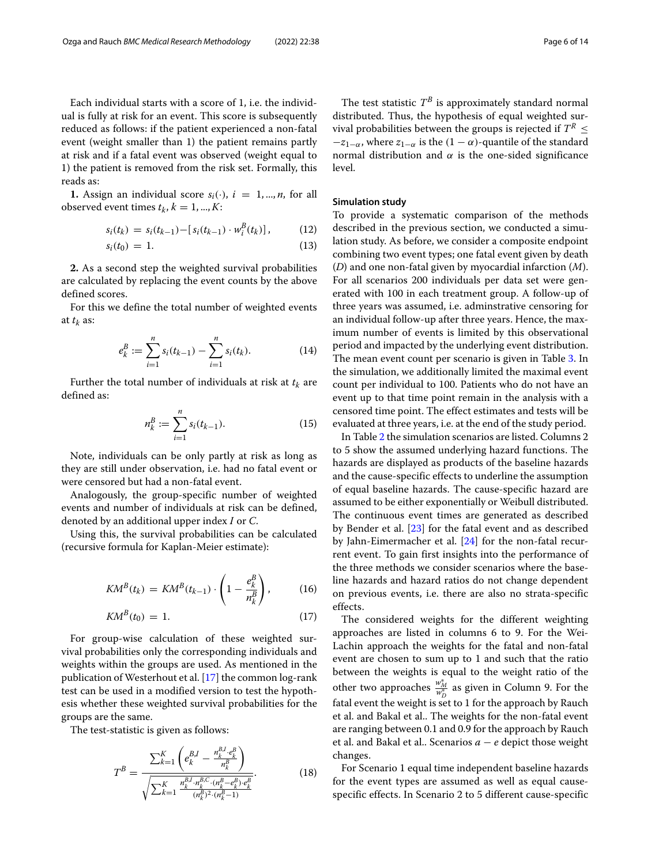Each individual starts with a score of 1, i.e. the individual is fully at risk for an event. This score is subsequently reduced as follows: if the patient experienced a non-fatal event (weight smaller than 1) the patient remains partly at risk and if a fatal event was observed (weight equal to 1) the patient is removed from the risk set. Formally, this reads as:

**1.** Assign an individual score  $s_i(\cdot)$ ,  $i = 1, ..., n$ , for all observed event times  $t_k$ ,  $k = 1, ..., K$ :

$$
s_i(t_k) = s_i(t_{k-1}) - [s_i(t_{k-1}) \cdot w_i^B(t_k)], \qquad (12)
$$

$$
s_i(t_0) = 1. \tag{13}
$$

**2.** As a second step the weighted survival probabilities are calculated by replacing the event counts by the above defined scores.

For this we define the total number of weighted events at  $t_k$  as:

$$
e_k^B := \sum_{i=1}^n s_i(t_{k-1}) - \sum_{i=1}^n s_i(t_k). \tag{14}
$$

Further the total number of individuals at risk at  $t_k$  are defined as:

$$
n_k^B := \sum_{i=1}^n s_i(t_{k-1}).
$$
\n(15)

Note, individuals can be only partly at risk as long as they are still under observation, i.e. had no fatal event or were censored but had a non-fatal event.

Analogously, the group-specific number of weighted events and number of individuals at risk can be defined, denoted by an additional upper index *I* or *C*.

Using this, the survival probabilities can be calculated (recursive formula for Kaplan-Meier estimate):

$$
K\mathcal{M}^B(t_k) = KM^B(t_{k-1}) \cdot \left(1 - \frac{e_k^B}{n_k^B}\right),\tag{16}
$$

$$
K\mathcal{M}^B(t_0) = 1. \tag{17}
$$

For group-wise calculation of these weighted survival probabilities only the corresponding individuals and weights within the groups are used. As mentioned in the publication of Westerhout et al. [\[17\]](#page-12-14) the common log-rank test can be used in a modified version to test the hypothesis whether these weighted survival probabilities for the groups are the same.

The test-statistic is given as follows:

$$
T^{B} = \frac{\sum_{k=1}^{K} \left(e_{k}^{B,I} - \frac{n_{k}^{B,I} \cdot e_{k}^{B}}{n_{k}^{B}}\right)}{\sqrt{\sum_{k=1}^{K} \frac{n_{k}^{B,I} \cdot n_{k}^{B,C} \cdot (n_{k}^{B}-e_{k}^{B}) \cdot e_{k}^{B}}{(n_{k}^{B})^{2} \cdot (n_{k}^{B}-1)}}}
$$
(18)

The test statistic  $T^B$  is approximately standard normal distributed. Thus, the hypothesis of equal weighted survival probabilities between the groups is rejected if  $T^R \leq$  $-z_{1-\alpha}$ , where  $z_{1-\alpha}$  is the  $(1-\alpha)$ -quantile of the standard normal distribution and  $α$  is the one-sided significance level.

#### **Simulation study**

To provide a systematic comparison of the methods described in the previous section, we conducted a simulation study. As before, we consider a composite endpoint combining two event types; one fatal event given by death (*D*) and one non-fatal given by myocardial infarction (*M*). For all scenarios 200 individuals per data set were generated with 100 in each treatment group. A follow-up of three years was assumed, i.e. adminstrative censoring for an individual follow-up after three years. Hence, the maximum number of events is limited by this observational period and impacted by the underlying event distribution. The mean event count per scenario is given in Table [3.](#page-8-0) In the simulation, we additionally limited the maximal event count per individual to 100. Patients who do not have an event up to that time point remain in the analysis with a censored time point. The effect estimates and tests will be evaluated at three years, i.e. at the end of the study period.

In Table [2](#page-6-0) the simulation scenarios are listed. Columns 2 to 5 show the assumed underlying hazard functions. The hazards are displayed as products of the baseline hazards and the cause-specific effects to underline the assumption of equal baseline hazards. The cause-specific hazard are assumed to be either exponentially or Weibull distributed. The continuous event times are generated as described by Bender et al. [\[23\]](#page-13-0) for the fatal event and as described by Jahn-Eimermacher et al. [\[24\]](#page-13-1) for the non-fatal recurrent event. To gain first insights into the performance of the three methods we consider scenarios where the baseline hazards and hazard ratios do not change dependent on previous events, i.e. there are also no strata-specific effects.

The considered weights for the different weighting approaches are listed in columns 6 to 9. For the Wei-Lachin approach the weights for the fatal and non-fatal event are chosen to sum up to 1 and such that the ratio between the weights is equal to the weight ratio of the other two approaches  $\frac{w_M^*}{w_D^*}$  as given in Column 9. For the fatal event the weight is set to 1 for the approach by Rauch et al. and Bakal et al.. The weights for the non-fatal event are ranging between 0.1 and 0.9 for the approach by Rauch et al. and Bakal et al.. Scenarios *a* − *e* depict those weight changes.

For Scenario 1 equal time independent baseline hazards for the event types are assumed as well as equal causespecific effects. In Scenario 2 to 5 different cause-specific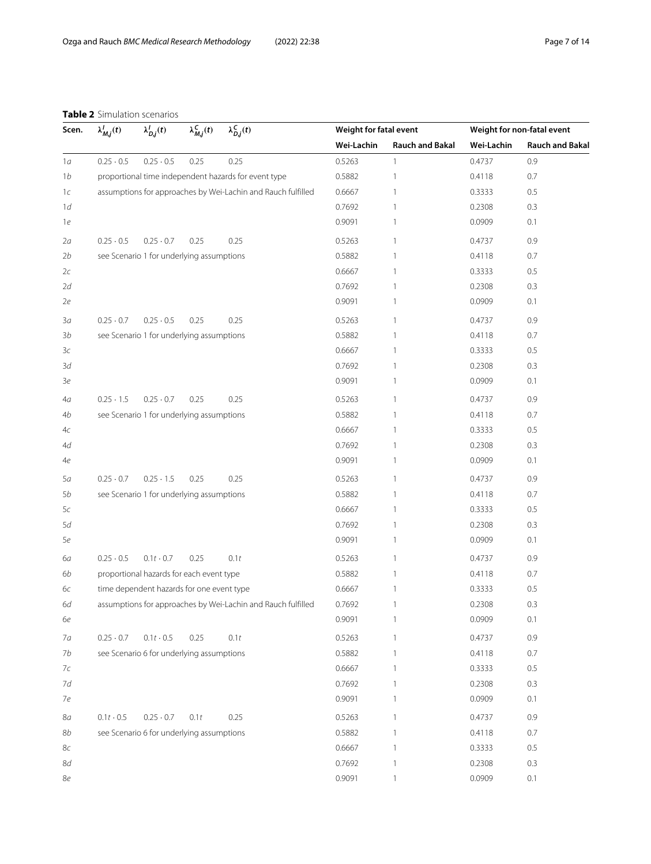## **Table 2** Simulation scenarios

<span id="page-6-0"></span>

| Scen.          | $\lambda_{M,i}^{l}(t)$ | $\lambda_{D,j}^l(t)$                      | $\lambda_{M,j}^C(t)$ | $\lambda_{D,j}^C(t)$                                         | Weight for fatal event |                        |            | Weight for non-fatal event |
|----------------|------------------------|-------------------------------------------|----------------------|--------------------------------------------------------------|------------------------|------------------------|------------|----------------------------|
|                |                        |                                           |                      |                                                              | Wei-Lachin             | <b>Rauch and Bakal</b> | Wei-Lachin | <b>Rauch and Bakal</b>     |
| 1a             | $0.25 \cdot 0.5$       | $0.25 \cdot 0.5$                          | 0.25                 | 0.25                                                         | 0.5263                 | $\mathbf{1}$           | 0.4737     | 0.9                        |
| 1 <sub>b</sub> |                        |                                           |                      | proportional time independent hazards for event type         | 0.5882                 | 1                      | 0.4118     | 0.7                        |
| 1c             |                        |                                           |                      | assumptions for approaches by Wei-Lachin and Rauch fulfilled | 0.6667                 | 1                      | 0.3333     | 0.5                        |
| 1d             |                        |                                           |                      |                                                              | 0.7692                 | 1                      | 0.2308     | 0.3                        |
| 1e             |                        |                                           |                      |                                                              | 0.9091                 | 1                      | 0.0909     | 0.1                        |
| 2a             | $0.25 \cdot 0.5$       | $0.25 \cdot 0.7$                          | 0.25                 | 0.25                                                         | 0.5263                 | 1                      | 0.4737     | 0.9                        |
| 2b             |                        | see Scenario 1 for underlying assumptions |                      |                                                              | 0.5882                 | 1                      | 0.4118     | 0.7                        |
| 2c             |                        |                                           |                      |                                                              | 0.6667                 | 1                      | 0.3333     | 0.5                        |
| 2d             |                        |                                           |                      |                                                              | 0.7692                 | 1                      | 0.2308     | 0.3                        |
| 2e             |                        |                                           |                      |                                                              | 0.9091                 | 1                      | 0.0909     | 0.1                        |
| 3a             | $0.25 \cdot 0.7$       | $0.25 \cdot 0.5$                          | 0.25                 | 0.25                                                         | 0.5263                 | 1                      | 0.4737     | 0.9                        |
| 3b             |                        | see Scenario 1 for underlying assumptions |                      |                                                              | 0.5882                 | 1                      | 0.4118     | 0.7                        |
| 3c             |                        |                                           |                      |                                                              | 0.6667                 | 1                      | 0.3333     | 0.5                        |
| 3d             |                        |                                           |                      |                                                              | 0.7692                 | 1                      | 0.2308     | 0.3                        |
| Зе             |                        |                                           |                      |                                                              | 0.9091                 | 1                      | 0.0909     | 0.1                        |
| 4а             | $0.25 \cdot 1.5$       | $0.25 \cdot 0.7$                          | 0.25                 | 0.25                                                         | 0.5263                 | 1                      | 0.4737     | 0.9                        |
| 4b             |                        | see Scenario 1 for underlying assumptions |                      |                                                              | 0.5882                 | 1                      | 0.4118     | 0.7                        |
| 4c             |                        |                                           |                      |                                                              | 0.6667                 | 1                      | 0.3333     | 0.5                        |
| 4d             |                        |                                           |                      |                                                              | 0.7692                 | 1                      | 0.2308     | 0.3                        |
| 4e             |                        |                                           |                      |                                                              | 0.9091                 | 1                      | 0.0909     | 0.1                        |
| 5а             | $0.25 \cdot 0.7$       | $0.25 \cdot 1.5$                          | 0.25                 | 0.25                                                         | 0.5263                 | 1                      | 0.4737     | 0.9                        |
| 5b             |                        | see Scenario 1 for underlying assumptions |                      |                                                              | 0.5882                 | 1                      | 0.4118     | 0.7                        |
| 5c             |                        |                                           |                      |                                                              | 0.6667                 | 1                      | 0.3333     | 0.5                        |
| 5d             |                        |                                           |                      |                                                              | 0.7692                 | 1                      | 0.2308     | 0.3                        |
| 5e             |                        |                                           |                      |                                                              | 0.9091                 | 1                      | 0.0909     | 0.1                        |
| 6а             | $0.25 \cdot 0.5$       | $0.1t \cdot 0.7$                          | 0.25                 | 0.1t                                                         | 0.5263                 | 1                      | 0.4737     | 0.9                        |
| 6b             |                        | proportional hazards for each event type  |                      |                                                              | 0.5882                 | 1                      | 0.4118     | 0.7                        |
| 6с             |                        | time dependent hazards for one event type |                      |                                                              | 0.6667                 | 1                      | 0.3333     | 0.5                        |
| 6d             |                        |                                           |                      | assumptions for approaches by Wei-Lachin and Rauch fulfilled | 0.7692                 |                        | 0.2308     | 0.3                        |
| 6е             |                        |                                           |                      |                                                              | 0.9091                 | $\mathbf{1}$           | 0.0909     | 0.1                        |
| 7a             | $0.25 \cdot 0.7$       | $0.1t \cdot 0.5$                          | 0.25                 | 0.1t                                                         | 0.5263                 | $\mathbf{1}$           | 0.4737     | 0.9                        |
| 7b             |                        | see Scenario 6 for underlying assumptions |                      |                                                              | 0.5882                 | $\mathbf{1}$           | 0.4118     | 0.7                        |
| 7c             |                        |                                           |                      |                                                              | 0.6667                 | 1                      | 0.3333     | 0.5                        |
| 7d             |                        |                                           |                      |                                                              | 0.7692                 | 1                      | 0.2308     | 0.3                        |
| 7e             |                        |                                           |                      |                                                              | 0.9091                 | 1                      | 0.0909     | 0.1                        |
| 8a             | $0.1t - 0.5$           | $0.25 \cdot 0.7$                          | 0.1t                 | 0.25                                                         | 0.5263                 | $\mathbf{1}$           | 0.4737     | 0.9                        |
| 8b             |                        | see Scenario 6 for underlying assumptions |                      |                                                              | 0.5882                 | 1                      | 0.4118     | 0.7                        |
| 8c             |                        |                                           |                      |                                                              | 0.6667                 | 1                      | 0.3333     | 0.5                        |
| 8d             |                        |                                           |                      |                                                              | 0.7692                 | 1                      | 0.2308     | 0.3                        |
| 8e             |                        |                                           |                      |                                                              | 0.9091                 | 1                      | 0.0909     | 0.1                        |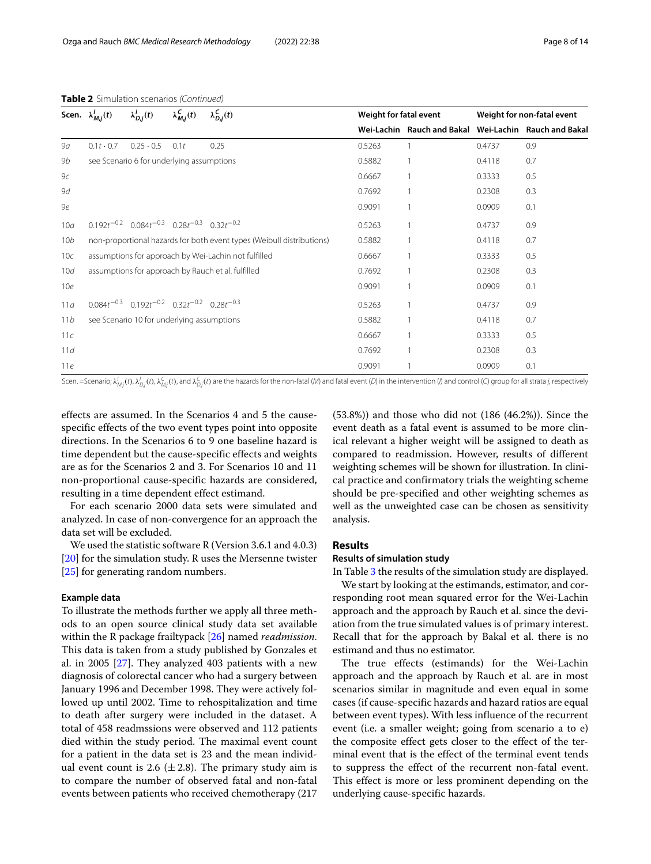|  |  |  | <b>Table 2</b> Simulation scenarios (Continued) |
|--|--|--|-------------------------------------------------|
|--|--|--|-------------------------------------------------|

|                | Scen. $\lambda_{M,i}^{I}(t)$ | $\lambda_{D,i}^{I}(t)$                                        | $\lambda_{M,j}^{C}(t)$ | $\lambda_{D,j}^C(t)$                                                  |        | Weight for fatal event     |        | Weight for non-fatal event |  |  |
|----------------|------------------------------|---------------------------------------------------------------|------------------------|-----------------------------------------------------------------------|--------|----------------------------|--------|----------------------------|--|--|
|                |                              |                                                               |                        |                                                                       |        | Wei-Lachin Rauch and Bakal |        | Wei-Lachin Rauch and Bakal |  |  |
| 9a             | $0.1t \cdot 0.7$             | $0.25 \cdot 0.5$                                              | 0.1t                   | 0.25                                                                  | 0.5263 |                            | 0.4737 | 0.9                        |  |  |
| 9b             |                              | see Scenario 6 for underlying assumptions                     |                        |                                                                       | 0.5882 |                            | 0.4118 | 0.7                        |  |  |
| 9 <sub>C</sub> |                              |                                                               |                        |                                                                       | 0.6667 |                            | 0.3333 | 0.5                        |  |  |
| 9d             |                              |                                                               |                        |                                                                       | 0.7692 |                            | 0.2308 | 0.3                        |  |  |
| 9e             |                              |                                                               |                        |                                                                       | 0.9091 |                            | 0.0909 | 0.1                        |  |  |
| 10a            |                              | $0.192t^{-0.2}$ $0.084t^{-0.3}$ $0.28t^{-0.3}$ $0.32t^{-0.2}$ |                        |                                                                       | 0.5263 |                            | 0.4737 | 0.9                        |  |  |
| 10b            |                              |                                                               |                        | non-proportional hazards for both event types (Weibull distributions) | 0.5882 |                            | 0.4118 | 0.7                        |  |  |
| 10c            |                              |                                                               |                        | assumptions for approach by Wei-Lachin not fulfilled                  | 0.6667 |                            | 0.3333 | 0.5                        |  |  |
| 10d            |                              |                                                               |                        | assumptions for approach by Rauch et al. fulfilled                    | 0.7692 |                            | 0.2308 | 0.3                        |  |  |
| 10e            |                              |                                                               |                        |                                                                       | 0.9091 |                            | 0.0909 | 0.1                        |  |  |
| 11a            |                              | $0.084t^{-0.3}$ $0.192t^{-0.2}$ $0.32t^{-0.2}$ $0.28t^{-0.3}$ |                        |                                                                       | 0.5263 |                            | 0.4737 | 0.9                        |  |  |
| 11b            |                              | see Scenario 10 for underlying assumptions                    |                        |                                                                       | 0.5882 |                            | 0.4118 | 0.7                        |  |  |
| 11c            |                              |                                                               |                        |                                                                       | 0.6667 |                            | 0.3333 | 0.5                        |  |  |
| 11d            |                              |                                                               |                        |                                                                       | 0.7692 |                            | 0.2308 | 0.3                        |  |  |
| 11e            |                              |                                                               |                        |                                                                       | 0.9091 |                            | 0.0909 | 0.1                        |  |  |

Scen. =Scenario;  $\lambda'_{Mj}(t),\lambda'_{Dj}(t),\lambda''_{Mj}(t)$ , and  $\lambda^{C}_{Dj}(t)$  are the hazards for the non-fatal (M) and fatal event (D) in the intervention (I) and control (C) group for all strata j, respectively

effects are assumed. In the Scenarios 4 and 5 the causespecific effects of the two event types point into opposite directions. In the Scenarios 6 to 9 one baseline hazard is time dependent but the cause-specific effects and weights are as for the Scenarios 2 and 3. For Scenarios 10 and 11 non-proportional cause-specific hazards are considered, resulting in a time dependent effect estimand.

For each scenario 2000 data sets were simulated and analyzed. In case of non-convergence for an approach the data set will be excluded.

We used the statistic software R (Version 3.6.1 and 4.0.3) [\[20\]](#page-12-17) for the simulation study. R uses the Mersenne twister [\[25\]](#page-13-2) for generating random numbers.

#### **Example data**

To illustrate the methods further we apply all three methods to an open source clinical study data set available within the R package frailtypack [\[26\]](#page-13-3) named *readmission*. This data is taken from a study published by Gonzales et al. in 2005 [\[27\]](#page-13-4). They analyzed 403 patients with a new diagnosis of colorectal cancer who had a surgery between January 1996 and December 1998. They were actively followed up until 2002. Time to rehospitalization and time to death after surgery were included in the dataset. A total of 458 readmssions were observed and 112 patients died within the study period. The maximal event count for a patient in the data set is 23 and the mean individual event count is 2.6  $(\pm 2.8)$ . The primary study aim is to compare the number of observed fatal and non-fatal events between patients who received chemotherapy (217

(53.8%)) and those who did not (186 (46.2%)). Since the event death as a fatal event is assumed to be more clinical relevant a higher weight will be assigned to death as compared to readmission. However, results of different weighting schemes will be shown for illustration. In clinical practice and confirmatory trials the weighting scheme should be pre-specified and other weighting schemes as well as the unweighted case can be chosen as sensitivity analysis.

#### **Results**

#### **Results of simulation study**

In Table [3](#page-8-0) the results of the simulation study are displayed. We start by looking at the estimands, estimator, and corresponding root mean squared error for the Wei-Lachin approach and the approach by Rauch et al. since the deviation from the true simulated values is of primary interest. Recall that for the approach by Bakal et al. there is no estimand and thus no estimator.

The true effects (estimands) for the Wei-Lachin approach and the approach by Rauch et al. are in most scenarios similar in magnitude and even equal in some cases (if cause-specific hazards and hazard ratios are equal between event types). With less influence of the recurrent event (i.e. a smaller weight; going from scenario a to e) the composite effect gets closer to the effect of the terminal event that is the effect of the terminal event tends to suppress the effect of the recurrent non-fatal event. This effect is more or less prominent depending on the underlying cause-specific hazards.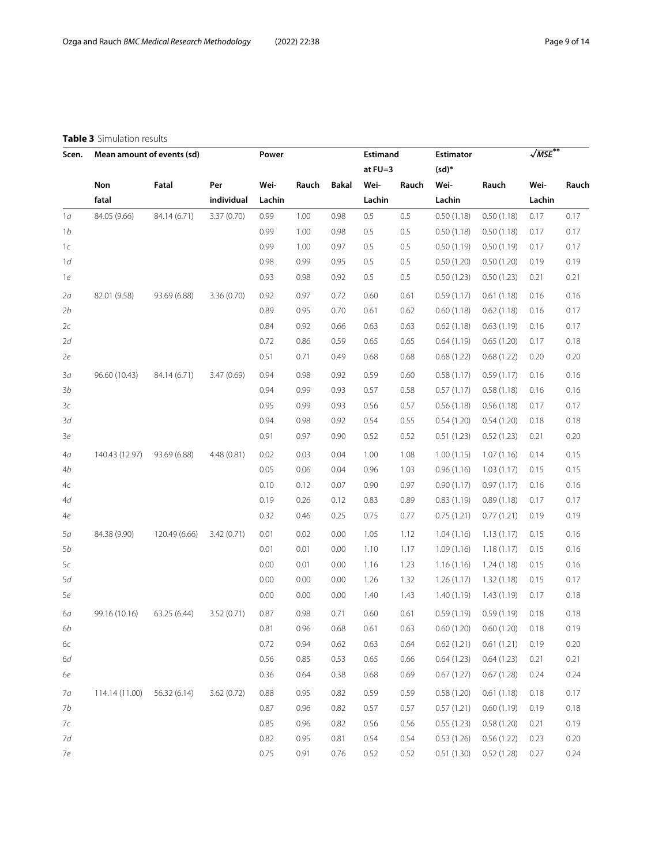### **Table 3** Simulation results

<span id="page-8-0"></span>

| Scen. | Mean amount of events (sd) |               |            | Power  |       |       | Estimand  |       | <b>Estimator</b> |            | $\sqrt{\textit{MSE}}^{**}$ |       |
|-------|----------------------------|---------------|------------|--------|-------|-------|-----------|-------|------------------|------------|----------------------------|-------|
|       |                            |               |            |        |       |       | at $FU=3$ |       | $(sd)^*$         |            |                            |       |
|       | Non                        | Fatal         | Per        | Wei-   | Rauch | Bakal | Wei-      | Rauch | Wei-             | Rauch      | Wei-                       | Rauch |
|       | fatal                      |               | individual | Lachin |       |       | Lachin    |       | Lachin           |            | Lachin                     |       |
| 1a    | 84.05 (9.66)               | 84.14 (6.71)  | 3.37(0.70) | 0.99   | 1.00  | 0.98  | 0.5       | 0.5   | 0.50(1.18)       | 0.50(1.18) | 0.17                       | 0.17  |
| 1b    |                            |               |            | 0.99   | 1.00  | 0.98  | 0.5       | 0.5   | 0.50(1.18)       | 0.50(1.18) | 0.17                       | 0.17  |
| 1c    |                            |               |            | 0.99   | 1.00  | 0.97  | 0.5       | 0.5   | 0.50(1.19)       | 0.50(1.19) | 0.17                       | 0.17  |
| 1d    |                            |               |            | 0.98   | 0.99  | 0.95  | 0.5       | 0.5   | 0.50(1.20)       | 0.50(1.20) | 0.19                       | 0.19  |
| 1e    |                            |               |            | 0.93   | 0.98  | 0.92  | 0.5       | 0.5   | 0.50(1.23)       | 0.50(1.23) | 0.21                       | 0.21  |
| 2a    | 82.01 (9.58)               | 93.69 (6.88)  | 3.36(0.70) | 0.92   | 0.97  | 0.72  | 0.60      | 0.61  | 0.59(1.17)       | 0.61(1.18) | 0.16                       | 0.16  |
| 2b    |                            |               |            | 0.89   | 0.95  | 0.70  | 0.61      | 0.62  | 0.60(1.18)       | 0.62(1.18) | 0.16                       | 0.17  |
| 2c    |                            |               |            | 0.84   | 0.92  | 0.66  | 0.63      | 0.63  | 0.62(1.18)       | 0.63(1.19) | 0.16                       | 0.17  |
| 2d    |                            |               |            | 0.72   | 0.86  | 0.59  | 0.65      | 0.65  | 0.64(1.19)       | 0.65(1.20) | 0.17                       | 0.18  |
| 2e    |                            |               |            | 0.51   | 0.71  | 0.49  | 0.68      | 0.68  | 0.68(1.22)       | 0.68(1.22) | 0.20                       | 0.20  |
| 3a    | 96.60 (10.43)              | 84.14 (6.71)  | 3.47(0.69) | 0.94   | 0.98  | 0.92  | 0.59      | 0.60  | 0.58(1.17)       | 0.59(1.17) | 0.16                       | 0.16  |
| 3b    |                            |               |            | 0.94   | 0.99  | 0.93  | 0.57      | 0.58  | 0.57(1.17)       | 0.58(1.18) | 0.16                       | 0.16  |
| 3c    |                            |               |            | 0.95   | 0.99  | 0.93  | 0.56      | 0.57  | 0.56(1.18)       | 0.56(1.18) | 0.17                       | 0.17  |
| 3d    |                            |               |            | 0.94   | 0.98  | 0.92  | 0.54      | 0.55  | 0.54(1.20)       | 0.54(1.20) | 0.18                       | 0.18  |
| Зе    |                            |               |            | 0.91   | 0.97  | 0.90  | 0.52      | 0.52  | 0.51(1.23)       | 0.52(1.23) | 0.21                       | 0.20  |
| 4a    | 140.43 (12.97)             | 93.69 (6.88)  | 4.48(0.81) | 0.02   | 0.03  | 0.04  | 1.00      | 1.08  | 1.00(1.15)       | 1.07(1.16) | 0.14                       | 0.15  |
| 4b    |                            |               |            | 0.05   | 0.06  | 0.04  | 0.96      | 1.03  | 0.96(1.16)       | 1.03(1.17) | 0.15                       | 0.15  |
| 4c    |                            |               |            | 0.10   | 0.12  | 0.07  | 0.90      | 0.97  | 0.90(1.17)       | 0.97(1.17) | 0.16                       | 0.16  |
| 4d    |                            |               |            | 0.19   | 0.26  | 0.12  | 0.83      | 0.89  | 0.83(1.19)       | 0.89(1.18) | 0.17                       | 0.17  |
| 4e    |                            |               |            | 0.32   | 0.46  | 0.25  | 0.75      | 0.77  | 0.75(1.21)       | 0.77(1.21) | 0.19                       | 0.19  |
| 5а    | 84.38 (9.90)               | 120.49 (6.66) | 3.42(0.71) | 0.01   | 0.02  | 0.00  | 1.05      | 1.12  | 1.04(1.16)       | 1.13(1.17) | 0.15                       | 0.16  |
| 5b    |                            |               |            | 0.01   | 0.01  | 0.00  | 1.10      | 1.17  | 1.09(1.16)       | 1.18(1.17) | 0.15                       | 0.16  |
| 5c    |                            |               |            | 0.00   | 0.01  | 0.00  | 1.16      | 1.23  | 1.16(1.16)       | 1.24(1.18) | 0.15                       | 0.16  |
| 5d    |                            |               |            | 0.00   | 0.00  | 0.00  | 1.26      | 1.32  | 1.26(1.17)       | 1.32(1.18) | 0.15                       | 0.17  |
| 5e    |                            |               |            | 0.00   | 0.00  | 0.00  | 1.40      | 1.43  | 1.40(1.19)       | 1.43(1.19) | 0.17                       | 0.18  |
| 6а    | 99.16 (10.16)              | 63.25 (6.44)  | 3.52(0.71) | 0.87   | 0.98  | 0.71  | 0.60      | 0.61  | 0.59(1.19)       | 0.59(1.19) | 0.18                       | 0.18  |
| 6b    |                            |               |            | 0.81   | 0.96  | 0.68  | 0.61      | 0.63  | 0.60(1.20)       | 0.60(1.20) | 0.18                       | 0.19  |
| 6с    |                            |               |            | 0.72   | 0.94  | 0.62  | 0.63      | 0.64  | 0.62(1.21)       | 0.61(1.21) | 0.19                       | 0.20  |
| 6d    |                            |               |            | 0.56   | 0.85  | 0.53  | 0.65      | 0.66  | 0.64(1.23)       | 0.64(1.23) | 0.21                       | 0.21  |
| 6е    |                            |               |            | 0.36   | 0.64  | 0.38  | 0.68      | 0.69  | 0.67(1.27)       | 0.67(1.28) | 0.24                       | 0.24  |
| 7а    | 114.14 (11.00)             | 56.32 (6.14)  | 3.62(0.72) | 0.88   | 0.95  | 0.82  | 0.59      | 0.59  | 0.58(1.20)       | 0.61(1.18) | 0.18                       | 0.17  |
| 7b    |                            |               |            | 0.87   | 0.96  | 0.82  | 0.57      | 0.57  | 0.57(1.21)       | 0.60(1.19) | 0.19                       | 0.18  |
| 7с    |                            |               |            | 0.85   | 0.96  | 0.82  | 0.56      | 0.56  | 0.55(1.23)       | 0.58(1.20) | 0.21                       | 0.19  |
| 7d    |                            |               |            | 0.82   | 0.95  | 0.81  | 0.54      | 0.54  | 0.53(1.26)       | 0.56(1.22) | 0.23                       | 0.20  |
| 7e    |                            |               |            | 0.75   | 0.91  | 0.76  | 0.52      | 0.52  | 0.51(1.30)       | 0.52(1.28) | 0.27                       | 0.24  |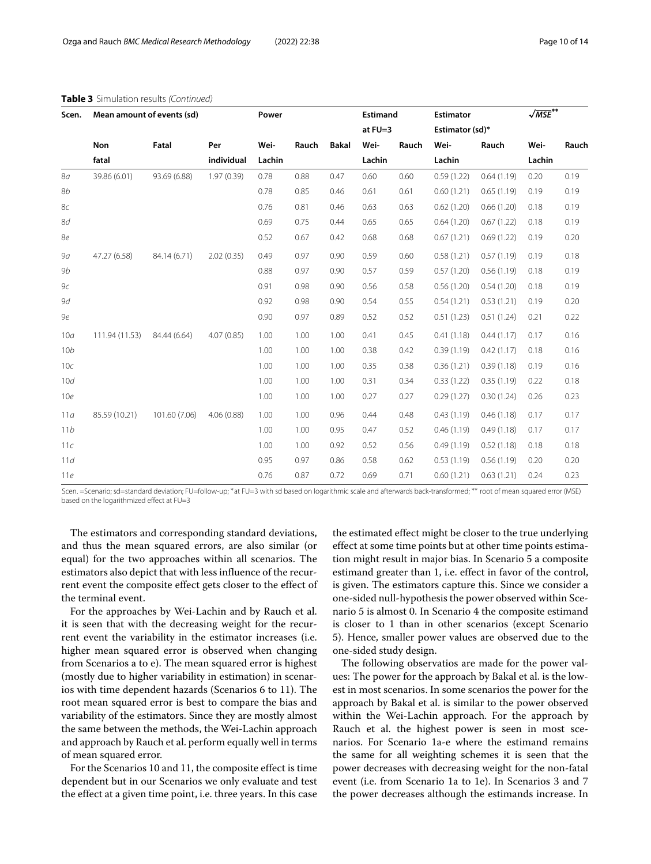| Scen.           | Mean amount of events (sd) |               |            | Power  |       |              | <b>Estimand</b> |       | <b>Estimator</b> |            | $\sqrt{\text{MSE}}^{**}$ |       |
|-----------------|----------------------------|---------------|------------|--------|-------|--------------|-----------------|-------|------------------|------------|--------------------------|-------|
|                 |                            |               |            |        |       |              | at $FU=3$       |       | Estimator (sd)*  |            |                          |       |
|                 | Non                        | Fatal         | Per        | Wei-   | Rauch | <b>Bakal</b> | Wei-            | Rauch | Wei-             | Rauch      | Wei-                     | Rauch |
|                 | fatal                      |               | individual | Lachin |       |              | Lachin          |       | Lachin           |            | Lachin                   |       |
| 8a              | 39.86 (6.01)               | 93.69 (6.88)  | 1.97(0.39) | 0.78   | 0.88  | 0.47         | 0.60            | 0.60  | 0.59(1.22)       | 0.64(1.19) | 0.20                     | 0.19  |
| <b>8b</b>       |                            |               |            | 0.78   | 0.85  | 0.46         | 0.61            | 0.61  | 0.60(1.21)       | 0.65(1.19) | 0.19                     | 0.19  |
| 8c              |                            |               |            | 0.76   | 0.81  | 0.46         | 0.63            | 0.63  | 0.62(1.20)       | 0.66(1.20) | 0.18                     | 0.19  |
| 8d              |                            |               |            | 0.69   | 0.75  | 0.44         | 0.65            | 0.65  | 0.64(1.20)       | 0.67(1.22) | 0.18                     | 0.19  |
| 8e              |                            |               |            | 0.52   | 0.67  | 0.42         | 0.68            | 0.68  | 0.67(1.21)       | 0.69(1.22) | 0.19                     | 0.20  |
| 9a              | 47.27 (6.58)               | 84.14 (6.71)  | 2.02(0.35) | 0.49   | 0.97  | 0.90         | 0.59            | 0.60  | 0.58(1.21)       | 0.57(1.19) | 0.19                     | 0.18  |
| 9b              |                            |               |            | 0.88   | 0.97  | 0.90         | 0.57            | 0.59  | 0.57(1.20)       | 0.56(1.19) | 0.18                     | 0.19  |
| 9c              |                            |               |            | 0.91   | 0.98  | 0.90         | 0.56            | 0.58  | 0.56(1.20)       | 0.54(1.20) | 0.18                     | 0.19  |
| 9d              |                            |               |            | 0.92   | 0.98  | 0.90         | 0.54            | 0.55  | 0.54(1.21)       | 0.53(1.21) | 0.19                     | 0.20  |
| 9e              |                            |               |            | 0.90   | 0.97  | 0.89         | 0.52            | 0.52  | 0.51(1.23)       | 0.51(1.24) | 0.21                     | 0.22  |
| 10a             | 111.94 (11.53)             | 84.44 (6.64)  | 4.07(0.85) | 1.00   | 1.00  | 1.00         | 0.41            | 0.45  | 0.41(1.18)       | 0.44(1.17) | 0.17                     | 0.16  |
| 10 <sub>b</sub> |                            |               |            | 1.00   | 1.00  | 1.00         | 0.38            | 0.42  | 0.39(1.19)       | 0.42(1.17) | 0.18                     | 0.16  |
| 10c             |                            |               |            | 1.00   | 1.00  | 1.00         | 0.35            | 0.38  | 0.36(1.21)       | 0.39(1.18) | 0.19                     | 0.16  |
| 10d             |                            |               |            | 1.00   | 1.00  | 1.00         | 0.31            | 0.34  | 0.33(1.22)       | 0.35(1.19) | 0.22                     | 0.18  |
| 10e             |                            |               |            | 1.00   | 1.00  | 1.00         | 0.27            | 0.27  | 0.29(1.27)       | 0.30(1.24) | 0.26                     | 0.23  |
| 11a             | 85.59 (10.21)              | 101.60 (7.06) | 4.06(0.88) | 1.00   | 1.00  | 0.96         | 0.44            | 0.48  | 0.43(1.19)       | 0.46(1.18) | 0.17                     | 0.17  |
| 11b             |                            |               |            | 1.00   | 1.00  | 0.95         | 0.47            | 0.52  | 0.46(1.19)       | 0.49(1.18) | 0.17                     | 0.17  |
| 11c             |                            |               |            | 1.00   | 1.00  | 0.92         | 0.52            | 0.56  | 0.49(1.19)       | 0.52(1.18) | 0.18                     | 0.18  |
| 11d             |                            |               |            | 0.95   | 0.97  | 0.86         | 0.58            | 0.62  | 0.53(1.19)       | 0.56(1.19) | 0.20                     | 0.20  |
| 11e             |                            |               |            | 0.76   | 0.87  | 0.72         | 0.69            | 0.71  | 0.60(1.21)       | 0.63(1.21) | 0.24                     | 0.23  |

#### **Table 3** Simulation results (Continued)

Scen. =Scenario; sd=standard deviation; FU=follow-up; ∗at FU=3 with sd based on logarithmic scale and afterwards back-transformed; ∗∗ root of mean squared error (MSE) based on the logarithmized effect at FU=3

The estimators and corresponding standard deviations, and thus the mean squared errors, are also similar (or equal) for the two approaches within all scenarios. The estimators also depict that with less influence of the recurrent event the composite effect gets closer to the effect of the terminal event.

For the approaches by Wei-Lachin and by Rauch et al. it is seen that with the decreasing weight for the recurrent event the variability in the estimator increases (i.e. higher mean squared error is observed when changing from Scenarios a to e). The mean squared error is highest (mostly due to higher variability in estimation) in scenarios with time dependent hazards (Scenarios 6 to 11). The root mean squared error is best to compare the bias and variability of the estimators. Since they are mostly almost the same between the methods, the Wei-Lachin approach and approach by Rauch et al. perform equally well in terms of mean squared error.

For the Scenarios 10 and 11, the composite effect is time dependent but in our Scenarios we only evaluate and test the effect at a given time point, i.e. three years. In this case the estimated effect might be closer to the true underlying effect at some time points but at other time points estimation might result in major bias. In Scenario 5 a composite estimand greater than 1, i.e. effect in favor of the control, is given. The estimators capture this. Since we consider a one-sided null-hypothesis the power observed within Scenario 5 is almost 0. In Scenario 4 the composite estimand is closer to 1 than in other scenarios (except Scenario 5). Hence, smaller power values are observed due to the one-sided study design.

The following observatios are made for the power values: The power for the approach by Bakal et al. is the lowest in most scenarios. In some scenarios the power for the approach by Bakal et al. is similar to the power observed within the Wei-Lachin approach. For the approach by Rauch et al. the highest power is seen in most scenarios. For Scenario 1a-e where the estimand remains the same for all weighting schemes it is seen that the power decreases with decreasing weight for the non-fatal event (i.e. from Scenario 1a to 1e). In Scenarios 3 and 7 the power decreases although the estimands increase. In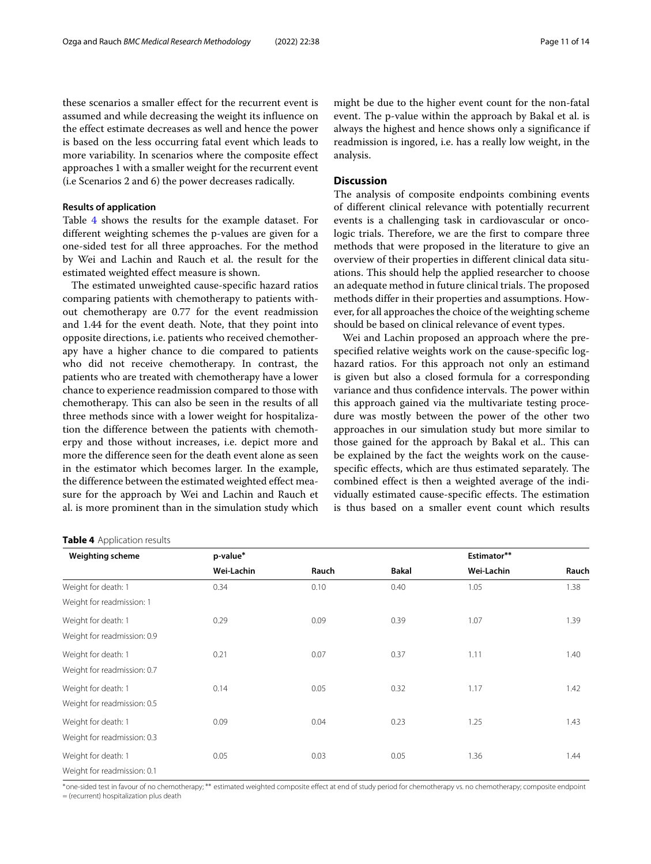these scenarios a smaller effect for the recurrent event is assumed and while decreasing the weight its influence on the effect estimate decreases as well and hence the power is based on the less occurring fatal event which leads to more variability. In scenarios where the composite effect approaches 1 with a smaller weight for the recurrent event (i.e Scenarios 2 and 6) the power decreases radically.

#### **Results of application**

Table [4](#page-10-0) shows the results for the example dataset. For different weighting schemes the p-values are given for a one-sided test for all three approaches. For the method by Wei and Lachin and Rauch et al. the result for the estimated weighted effect measure is shown.

The estimated unweighted cause-specific hazard ratios comparing patients with chemotherapy to patients without chemotherapy are 0.77 for the event readmission and 1.44 for the event death. Note, that they point into opposite directions, i.e. patients who received chemotherapy have a higher chance to die compared to patients who did not receive chemotherapy. In contrast, the patients who are treated with chemotherapy have a lower chance to experience readmission compared to those with chemotherapy. This can also be seen in the results of all three methods since with a lower weight for hospitalization the difference between the patients with chemotherpy and those without increases, i.e. depict more and more the difference seen for the death event alone as seen in the estimator which becomes larger. In the example, the difference between the estimated weighted effect measure for the approach by Wei and Lachin and Rauch et al. is more prominent than in the simulation study which

#### **Table 4** Application results

might be due to the higher event count for the non-fatal event. The p-value within the approach by Bakal et al. is always the highest and hence shows only a significance if readmission is ingored, i.e. has a really low weight, in the analysis.

#### **Discussion**

The analysis of composite endpoints combining events of different clinical relevance with potentially recurrent events is a challenging task in cardiovascular or oncologic trials. Therefore, we are the first to compare three methods that were proposed in the literature to give an overview of their properties in different clinical data situations. This should help the applied researcher to choose an adequate method in future clinical trials. The proposed methods differ in their properties and assumptions. However, for all approaches the choice of the weighting scheme should be based on clinical relevance of event types.

Wei and Lachin proposed an approach where the prespecified relative weights work on the cause-specific loghazard ratios. For this approach not only an estimand is given but also a closed formula for a corresponding variance and thus confidence intervals. The power within this approach gained via the multivariate testing procedure was mostly between the power of the other two approaches in our simulation study but more similar to those gained for the approach by Bakal et al.. This can be explained by the fact the weights work on the causespecific effects, which are thus estimated separately. The combined effect is then a weighted average of the individually estimated cause-specific effects. The estimation is thus based on a smaller event count which results

<span id="page-10-0"></span>

| <b>Weighting scheme</b>     | p-value*   |       |              | Estimator** |       |
|-----------------------------|------------|-------|--------------|-------------|-------|
|                             | Wei-Lachin | Rauch | <b>Bakal</b> | Wei-Lachin  | Rauch |
| Weight for death: 1         | 0.34       | 0.10  | 0.40         | 1.05        | 1.38  |
| Weight for readmission: 1   |            |       |              |             |       |
| Weight for death: 1         | 0.29       | 0.09  | 0.39         | 1.07        | 1.39  |
| Weight for readmission: 0.9 |            |       |              |             |       |
| Weight for death: 1         | 0.21       | 0.07  | 0.37         | 1.11        | 1.40  |
| Weight for readmission: 0.7 |            |       |              |             |       |
| Weight for death: 1         | 0.14       | 0.05  | 0.32         | 1.17        | 1.42  |
| Weight for readmission: 0.5 |            |       |              |             |       |
| Weight for death: 1         | 0.09       | 0.04  | 0.23         | 1.25        | 1.43  |
| Weight for readmission: 0.3 |            |       |              |             |       |
| Weight for death: 1         | 0.05       | 0.03  | 0.05         | 1.36        | 1.44  |
| Weight for readmission: 0.1 |            |       |              |             |       |

∗one-sided test in favour of no chemotherapy; ∗∗ estimated weighted composite effect at end of study period for chemotherapy vs. no chemotherapy; composite endpoint

= (recurrent) hospitalization plus death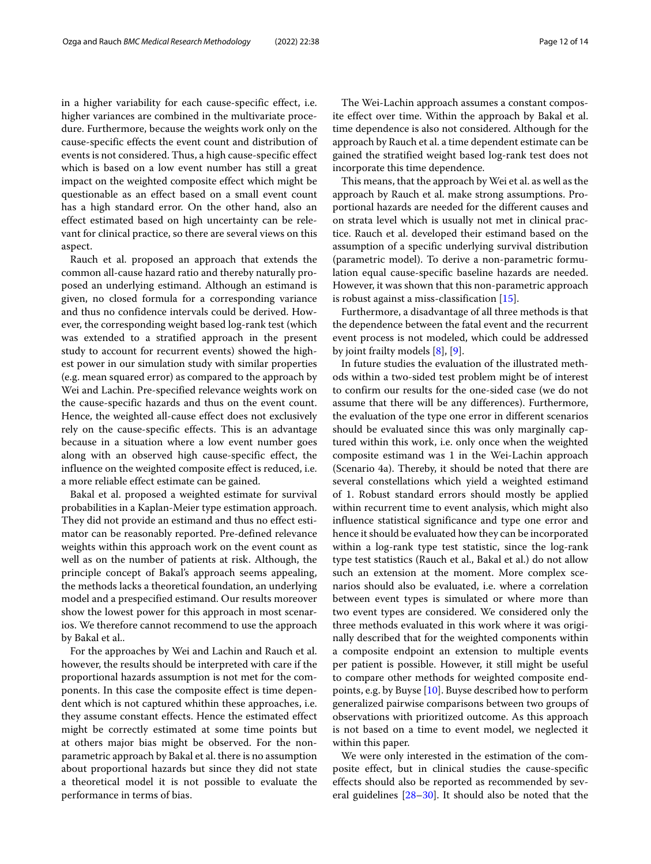in a higher variability for each cause-specific effect, i.e. higher variances are combined in the multivariate procedure. Furthermore, because the weights work only on the cause-specific effects the event count and distribution of events is not considered. Thus, a high cause-specific effect which is based on a low event number has still a great impact on the weighted composite effect which might be questionable as an effect based on a small event count has a high standard error. On the other hand, also an effect estimated based on high uncertainty can be relevant for clinical practice, so there are several views on this aspect.

Rauch et al. proposed an approach that extends the common all-cause hazard ratio and thereby naturally proposed an underlying estimand. Although an estimand is given, no closed formula for a corresponding variance and thus no confidence intervals could be derived. However, the corresponding weight based log-rank test (which was extended to a stratified approach in the present study to account for recurrent events) showed the highest power in our simulation study with similar properties (e.g. mean squared error) as compared to the approach by Wei and Lachin. Pre-specified relevance weights work on the cause-specific hazards and thus on the event count. Hence, the weighted all-cause effect does not exclusively rely on the cause-specific effects. This is an advantage because in a situation where a low event number goes along with an observed high cause-specific effect, the influence on the weighted composite effect is reduced, i.e. a more reliable effect estimate can be gained.

Bakal et al. proposed a weighted estimate for survival probabilities in a Kaplan-Meier type estimation approach. They did not provide an estimand and thus no effect estimator can be reasonably reported. Pre-defined relevance weights within this approach work on the event count as well as on the number of patients at risk. Although, the principle concept of Bakal's approach seems appealing, the methods lacks a theoretical foundation, an underlying model and a prespecified estimand. Our results moreover show the lowest power for this approach in most scenarios. We therefore cannot recommend to use the approach by Bakal et al..

For the approaches by Wei and Lachin and Rauch et al. however, the results should be interpreted with care if the proportional hazards assumption is not met for the components. In this case the composite effect is time dependent which is not captured whithin these approaches, i.e. they assume constant effects. Hence the estimated effect might be correctly estimated at some time points but at others major bias might be observed. For the nonparametric approach by Bakal et al. there is no assumption about proportional hazards but since they did not state a theoretical model it is not possible to evaluate the performance in terms of bias.

The Wei-Lachin approach assumes a constant composite effect over time. Within the approach by Bakal et al. time dependence is also not considered. Although for the approach by Rauch et al. a time dependent estimate can be gained the stratified weight based log-rank test does not incorporate this time dependence.

This means, that the approach by Wei et al. as well as the approach by Rauch et al. make strong assumptions. Proportional hazards are needed for the different causes and on strata level which is usually not met in clinical practice. Rauch et al. developed their estimand based on the assumption of a specific underlying survival distribution (parametric model). To derive a non-parametric formulation equal cause-specific baseline hazards are needed. However, it was shown that this non-parametric approach is robust against a miss-classification [\[15\]](#page-12-12).

Furthermore, a disadvantage of all three methods is that the dependence between the fatal event and the recurrent event process is not modeled, which could be addressed by joint frailty models [\[8\]](#page-12-7), [\[9\]](#page-12-8).

In future studies the evaluation of the illustrated methods within a two-sided test problem might be of interest to confirm our results for the one-sided case (we do not assume that there will be any differences). Furthermore, the evaluation of the type one error in different scenarios should be evaluated since this was only marginally captured within this work, i.e. only once when the weighted composite estimand was 1 in the Wei-Lachin approach (Scenario 4a). Thereby, it should be noted that there are several constellations which yield a weighted estimand of 1. Robust standard errors should mostly be applied within recurrent time to event analysis, which might also influence statistical significance and type one error and hence it should be evaluated how they can be incorporated within a log-rank type test statistic, since the log-rank type test statistics (Rauch et al., Bakal et al.) do not allow such an extension at the moment. More complex scenarios should also be evaluated, i.e. where a correlation between event types is simulated or where more than two event types are considered. We considered only the three methods evaluated in this work where it was originally described that for the weighted components within a composite endpoint an extension to multiple events per patient is possible. However, it still might be useful to compare other methods for weighted composite endpoints, e.g. by Buyse [\[10\]](#page-12-9). Buyse described how to perform generalized pairwise comparisons between two groups of observations with prioritized outcome. As this approach is not based on a time to event model, we neglected it within this paper.

We were only interested in the estimation of the composite effect, but in clinical studies the cause-specific effects should also be reported as recommended by several guidelines [\[28–](#page-13-5)[30\]](#page-13-6). It should also be noted that the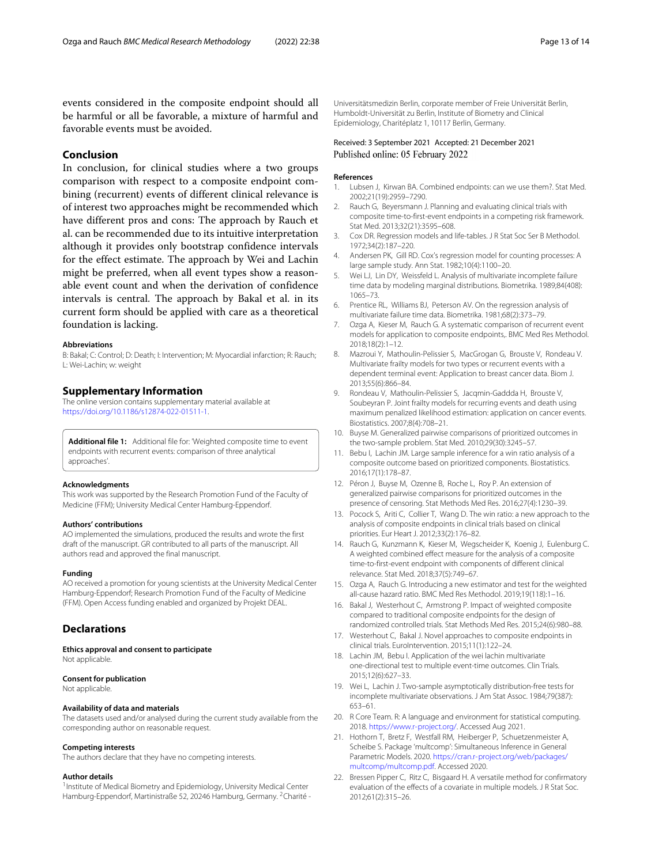events considered in the composite endpoint should all be harmful or all be favorable, a mixture of harmful and favorable events must be avoided.

#### **Conclusion**

In conclusion, for clinical studies where a two groups comparison with respect to a composite endpoint combining (recurrent) events of different clinical relevance is of interest two approaches might be recommended which have different pros and cons: The approach by Rauch et al. can be recommended due to its intuitive interpretation although it provides only bootstrap confidence intervals for the effect estimate. The approach by Wei and Lachin might be preferred, when all event types show a reasonable event count and when the derivation of confidence intervals is central. The approach by Bakal et al. in its current form should be applied with care as a theoretical foundation is lacking.

#### **Abbreviations**

B: Bakal; C: Control; D: Death; I: Intervention; M: Myocardial infarction; R: Rauch; L: Wei-Lachin; w: weight

#### **Supplementary Information**

The online version contains supplementary material available at [https://doi.org/10.1186/s12874-022-01511-1.](https://doi.org/10.1186/s12874-022-01511-1)

<span id="page-12-19"></span>**Additional file 1:** Additional file for: 'Weighted composite time to event endpoints with recurrent events: comparison of three analytical approaches'.

#### **Acknowledgments**

This work was supported by the Research Promotion Fund of the Faculty of Medicine (FFM); University Medical Center Hamburg-Eppendorf.

#### **Authors' contributions**

AO implemented the simulations, produced the results and wrote the first draft of the manuscript. GR contributed to all parts of the manuscript. All authors read and approved the final manuscript.

#### **Funding**

AO received a promotion for young scientists at the University Medical Center Hamburg-Eppendorf; Research Promotion Fund of the Faculty of Medicine (FFM). Open Access funding enabled and organized by Projekt DEAL.

#### **Declarations**

**Ethics approval and consent to participate** Not applicable.

#### **Consent for publication**

Not applicable.

#### **Availability of data and materials**

The datasets used and/or analysed during the current study available from the corresponding author on reasonable request.

#### **Competing interests**

The authors declare that they have no competing interests.

#### **Author details**

<sup>1</sup> Institute of Medical Biometry and Epidemiology, University Medical Center Hamburg-Eppendorf, Martinistraße 52, 20246 Hamburg, Germany. <sup>2</sup>Charité - Universitätsmedizin Berlin, corporate member of Freie Universität Berlin, Humboldt-Universität zu Berlin, Institute of Biometry and Clinical Epidemiology, Charitéplatz 1, 10117 Berlin, Germany.

#### Received: 3 September 2021 Accepted: 21 December 2021 Published online: 05 February 2022

#### **References**

- <span id="page-12-0"></span>1. Lubsen J, Kirwan BA. Combined endpoints: can we use them?. Stat Med. 2002;21(19):2959–7290.
- <span id="page-12-1"></span>2. Rauch G, Beyersmann J. Planning and evaluating clinical trials with composite time-to-first-event endpoints in a competing risk framework. Stat Med. 2013;32(21):3595–608.
- <span id="page-12-2"></span>3. Cox DR. Regression models and life-tables. J R Stat Soc Ser B Methodol. 1972;34(2):187–220.
- <span id="page-12-3"></span>4. Andersen PK, Gill RD. Cox's regression model for counting processes: A large sample study. Ann Stat. 1982;10(4):1100–20.
- <span id="page-12-4"></span>5. Wei LJ, Lin DY, Weissfeld L. Analysis of multivariate incomplete failure time data by modeling marginal distributions. Biometrika. 1989;84(408): 1065–73.
- <span id="page-12-5"></span>6. Prentice RL, Williams BJ, Peterson AV. On the regression analysis of multivariate failure time data. Biometrika. 1981;68(2):373–79.
- <span id="page-12-6"></span>7. Ozga A, Kieser M, Rauch G. A systematic comparison of recurrent event models for application to composite endpoints,. BMC Med Res Methodol. 2018;18(2):1–12.
- <span id="page-12-7"></span>8. Mazroui Y, Mathoulin-Pelissier S, MacGrogan G, Brouste V, Rondeau V. Multivariate frailty models for two types or recurrent events with a dependent terminal event: Application to breast cancer data. Biom J. 2013;55(6):866–84.
- <span id="page-12-8"></span>9. Rondeau V, Mathoulin-Pelissier S, Jacqmin-Gaddda H, Brouste V, Soubeyran P. Joint frailty models for recurring events and death using maximum penalized likelihood estimation: application on cancer events. Biostatistics. 2007;8(4):708–21.
- <span id="page-12-9"></span>10. Buyse M. Generalized pairwise comparisons of prioritized outcomes in the two-sample problem. Stat Med. 2010;29(30):3245–57.
- 11. Bebu I, Lachin JM. Large sample inference for a win ratio analysis of a composite outcome based on prioritized components. Biostatistics. 2016;17(1):178–87.
- 12. Péron J, Buyse M, Ozenne B, Roche L, Roy P. An extension of generalized pairwise comparisons for prioritized outcomes in the presence of censoring. Stat Methods Med Res. 2016;27(4):1230–39.
- <span id="page-12-10"></span>13. Pocock S, Ariti C, Collier T, Wang D. The win ratio: a new approach to the analysis of composite endpoints in clinical trials based on clinical priorities. Eur Heart J. 2012;33(2):176–82.
- <span id="page-12-11"></span>14. Rauch G, Kunzmann K, Kieser M, Wegscheider K, Koenig J, Eulenburg C. A weighted combined effect measure for the analysis of a composite time-to-first-event endpoint with components of different clinical relevance. Stat Med. 2018;37(5):749–67.
- <span id="page-12-12"></span>15. Ozga A, Rauch G. Introducing a new estimator and test for the weighted all-cause hazard ratio. BMC Med Res Methodol. 2019;19(118):1–16.
- <span id="page-12-13"></span>16. Bakal J, Westerhout C, Armstrong P. Impact of weighted composite compared to traditional composite endpoints for the design of randomized controlled trials. Stat Methods Med Res. 2015;24(6):980–88.
- <span id="page-12-14"></span>17. Westerhout C, Bakal J. Novel approaches to composite endpoints in clinical trials. EuroIntervention. 2015;11(1):122–24.
- <span id="page-12-15"></span>18. Lachin JM, Bebu I. Application of the wei lachin multivariate one-directional test to multiple event-time outcomes. Clin Trials. 2015;12(6):627–33.
- <span id="page-12-16"></span>19. Wei L, Lachin J. Two-sample asymptotically distribution-free tests for incomplete multivariate observations. J Am Stat Assoc. 1984;79(387): 653–61.
- <span id="page-12-17"></span>20. R Core Team. R: A language and environment for statistical computing. 2018. [https://www.r-project.org/.](https://www.r-project.org/) Accessed Aug 2021.
- 21. Hothorn T, Bretz F, Westfall RM, Heiberger P, Schuetzenmeister A, Scheibe S. Package 'multcomp': Simultaneous Inference in General Parametric Models. 2020. [https://cran.r-project.org/web/packages/](https://cran.r-project.org/web/packages/multcomp/multcomp.pdf) [multcomp/multcomp.pdf.](https://cran.r-project.org/web/packages/multcomp/multcomp.pdf) Accessed 2020.
- <span id="page-12-18"></span>22. Bressen Pipper C, Ritz C, Bisgaard H. A versatile method for confirmatory evaluation of the effects of a covariate in multiple models. J R Stat Soc. 2012;61(2):315–26.